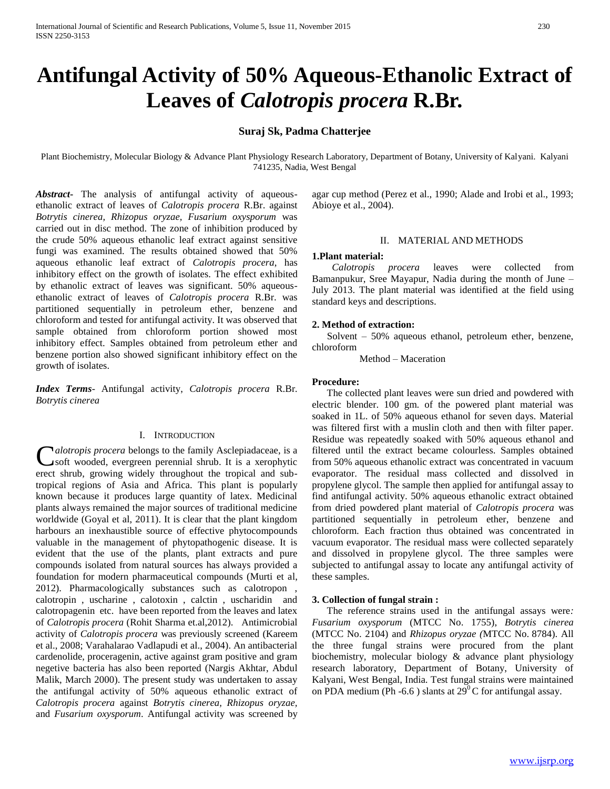# **Antifungal Activity of 50% Aqueous-Ethanolic Extract of Leaves of** *Calotropis procera* **R.Br.**

# **Suraj Sk, Padma Chatterjee**

Plant Biochemistry, Molecular Biology & Advance Plant Physiology Research Laboratory, Department of Botany, University of Kalyani. Kalyani 741235, Nadia, West Bengal

*Abstract***-** The analysis of antifungal activity of aqueousethanolic extract of leaves of *Calotropis procera* R.Br. against *Botrytis cinerea, Rhizopus oryzae, Fusarium oxysporum* was carried out in disc method. The zone of inhibition produced by the crude 50% aqueous ethanolic leaf extract against sensitive fungi was examined. The results obtained showed that 50% aqueous ethanolic leaf extract of *Calotropis procera*, has inhibitory effect on the growth of isolates. The effect exhibited by ethanolic extract of leaves was significant. 50% aqueousethanolic extract of leaves of *Calotropis procera* R.Br. was partitioned sequentially in petroleum ether, benzene and chloroform and tested for antifungal activity. It was observed that sample obtained from chloroform portion showed most inhibitory effect. Samples obtained from petroleum ether and benzene portion also showed significant inhibitory effect on the growth of isolates.

*Index Terms*- Antifungal activity, *Calotropis procera* R.Br*. Botrytis cinerea*

# I. INTRODUCTION

*alotropis procera* belongs to the family Asclepiadaceae, is a Calotropis procera belongs to the family Asclepiadaceae, is a serophytic soft wooded, evergreen perennial shrub. It is a xerophytic erect shrub, growing widely throughout the tropical and subtropical regions of Asia and Africa. This plant is popularly known because it produces large quantity of latex. Medicinal plants always remained the major sources of traditional medicine worldwide (Goyal et al, 2011). It is clear that the plant kingdom harbours an inexhaustible source of effective phytocompounds valuable in the management of phytopathogenic disease. It is evident that the use of the plants, plant extracts and pure compounds isolated from natural sources has always provided a foundation for modern pharmaceutical compounds (Murti et al, 2012). Pharmacologically substances such as calotropon , calotropin , uscharine , calotoxin , calctin , uscharidin and calotropagenin etc. have been reported from the leaves and latex of *Calotropis procera* (Rohit Sharma et.al,2012). Antimicrobial activity of *Calotropis procera* was previously screened (Kareem et al., 2008; Varahalarao Vadlapudi et al., 2004). An antibacterial cardenolide, proceragenin, active against gram positive and gram negetive bacteria has also been reported (Nargis Akhtar, Abdul Malik, March 2000). The present study was undertaken to assay the antifungal activity of 50% aqueous ethanolic extract of *Calotropis procera* against *Botrytis cinerea, Rhizopus oryzae,* and *Fusarium oxysporum*. Antifungal activity was screened by agar cup method (Perez et al., 1990; Alade and Irobi et al., 1993; Abioye et al., 2004).

#### II. MATERIAL AND METHODS

#### **1.Plant material:**

*Calotropis procera* leaves were collected from Bamanpukur, Sree Mayapur, Nadia during the month of June – July 2013. The plant material was identified at the field using standard keys and descriptions.

#### **2. Method of extraction:**

 Solvent – 50% aqueous ethanol, petroleum ether, benzene, chloroform

Method – Maceration

# **Procedure:**

 The collected plant leaves were sun dried and powdered with electric blender. 100 gm. of the powered plant material was soaked in 1L. of 50% aqueous ethanol for seven days. Material was filtered first with a muslin cloth and then with filter paper. Residue was repeatedly soaked with 50% aqueous ethanol and filtered until the extract became colourless. Samples obtained from 50% aqueous ethanolic extract was concentrated in vacuum evaporator. The residual mass collected and dissolved in propylene glycol. The sample then applied for antifungal assay to find antifungal activity. 50% aqueous ethanolic extract obtained from dried powdered plant material of *Calotropis procera* was partitioned sequentially in petroleum ether, benzene and chloroform. Each fraction thus obtained was concentrated in vacuum evaporator. The residual mass were collected separately and dissolved in propylene glycol. The three samples were subjected to antifungal assay to locate any antifungal activity of these samples.

## **3. Collection of fungal strain :**

 The reference strains used in the antifungal assays were*: Fusarium oxysporum* (MTCC No. 1755), *Botrytis cinerea*  (MTCC No. 2104) and *Rhizopus oryzae (*MTCC No. 8784). All the three fungal strains were procured from the plant biochemistry, molecular biology & advance plant physiology research laboratory, Department of Botany, University of Kalyani, West Bengal, India. Test fungal strains were maintained on PDA medium (Ph -6.6) slants at  $29^{\circ}$ C for antifungal assay.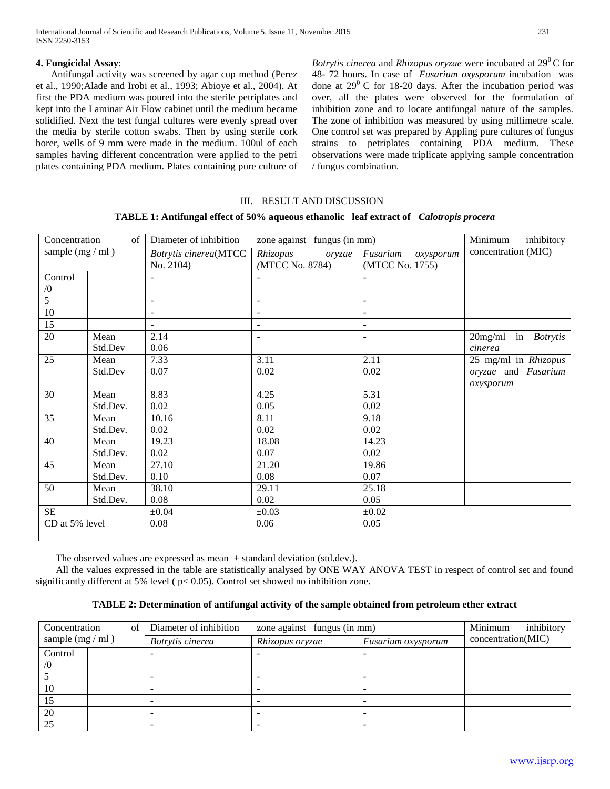# **4. Fungicidal Assay**:

 Antifungal activity was screened by agar cup method (Perez et al., 1990;Alade and Irobi et al., 1993; Abioye et al., 2004). At first the PDA medium was poured into the sterile petriplates and kept into the Laminar Air Flow cabinet until the medium became solidified. Next the test fungal cultures were evenly spread over the media by sterile cotton swabs. Then by using sterile cork borer, wells of 9 mm were made in the medium. 100ul of each samples having different concentration were applied to the petri plates containing PDA medium. Plates containing pure culture of *Botrytis cinerea* and *Rhizopus oryzae* were incubated at 29<sup>0</sup>C for 48- 72 hours. In case of *Fusarium oxysporum* incubation was done at  $29^0$  C for 18-20 days. After the incubation period was over, all the plates were observed for the formulation of inhibition zone and to locate antifungal nature of the samples. The zone of inhibition was measured by using millimetre scale. One control set was prepared by Appling pure cultures of fungus strains to petriplates containing PDA medium. These observations were made triplicate applying sample concentration / fungus combination.

# III. RESULT AND DISCUSSION

# **TABLE 1: Antifungal effect of 50% aqueous ethanolic leaf extract of** *Calotropis procera*

| Concentration<br>$\sigma$ f |          | Diameter of inhibition   | inhibitory<br>Minimum    |                       |                            |  |  |
|-----------------------------|----------|--------------------------|--------------------------|-----------------------|----------------------------|--|--|
| sample $(mg / ml)$          |          | Botrytis cinerea(MTCC    | Rhizopus<br>oryzae       | Fusarium<br>oxysporum | concentration (MIC)        |  |  |
|                             |          | No. 2104)                | (MTCC No. 8784)          |                       |                            |  |  |
| Control                     |          |                          |                          |                       |                            |  |  |
| $\sqrt{0}$                  |          |                          |                          |                       |                            |  |  |
| $\overline{5}$              |          | $\overline{\phantom{a}}$ | $\overline{\phantom{a}}$ |                       |                            |  |  |
| 10                          |          |                          |                          |                       |                            |  |  |
| 15                          |          | $\sim$                   | $\overline{\phantom{a}}$ | $\blacksquare$        |                            |  |  |
| 20                          | Mean     | 2.14                     | $\overline{\phantom{a}}$ | $\blacksquare$        | 20mg/ml in <i>Botrytis</i> |  |  |
|                             | Std.Dev  | 0.06                     |                          |                       | cinerea                    |  |  |
| 25                          | Mean     | 7.33                     | 3.11                     | 2.11                  | 25 mg/ml in Rhizopus       |  |  |
|                             | Std.Dev  | 0.07                     | 0.02                     | 0.02                  | oryzae and Fusarium        |  |  |
|                             |          |                          |                          |                       | oxysporum                  |  |  |
| 30                          | Mean     | 8.83                     | 4.25                     | 5.31                  |                            |  |  |
|                             | Std.Dev. | 0.02                     | 0.05                     | 0.02                  |                            |  |  |
| 35                          | Mean     | 10.16                    | 8.11                     | 9.18                  |                            |  |  |
|                             | Std.Dev. | 0.02                     | 0.02                     | 0.02                  |                            |  |  |
| 40                          | Mean     | 19.23                    | 18.08                    | 14.23                 |                            |  |  |
|                             | Std.Dev. | 0.02                     | 0.07                     | 0.02                  |                            |  |  |
| 45                          | Mean     | 27.10                    | 21.20                    | 19.86                 |                            |  |  |
|                             | Std.Dev. | 0.10                     | 0.08                     | 0.07                  |                            |  |  |
| 50                          | Mean     | 38.10                    | 29.11                    | 25.18                 |                            |  |  |
| Std.Dev.                    |          | 0.08                     | 0.02                     | 0.05                  |                            |  |  |
| $\rm SE$                    |          | $\pm 0.04$               | $\pm 0.03$               | $\pm 0.02$            |                            |  |  |
| CD at 5% level              |          | 0.08                     | 0.06                     | 0.05                  |                            |  |  |
|                             |          |                          |                          |                       |                            |  |  |

The observed values are expressed as mean  $\pm$  standard deviation (std.dev.).

 All the values expressed in the table are statistically analysed by ONE WAY ANOVA TEST in respect of control set and found significantly different at 5% level ( p< 0.05). Control set showed no inhibition zone.

# **TABLE 2: Determination of antifungal activity of the sample obtained from petroleum ether extract**

| Concentration<br>οf<br>sample $(mg / ml)$ |  | Diameter of inhibition | Minimum<br>inhibitory |                 |                    |                    |
|-------------------------------------------|--|------------------------|-----------------------|-----------------|--------------------|--------------------|
|                                           |  |                        | Botrytis cinerea      | Rhizopus oryzae | Fusarium oxysporum | concentration(MIC) |
| Control                                   |  |                        |                       |                 |                    |                    |
| $\sqrt{0}$                                |  |                        |                       |                 |                    |                    |
|                                           |  |                        |                       |                 |                    |                    |
| 10                                        |  |                        |                       |                 |                    |                    |
| 15                                        |  |                        |                       |                 |                    |                    |
| 20                                        |  |                        |                       |                 |                    |                    |
| 25                                        |  |                        |                       |                 |                    |                    |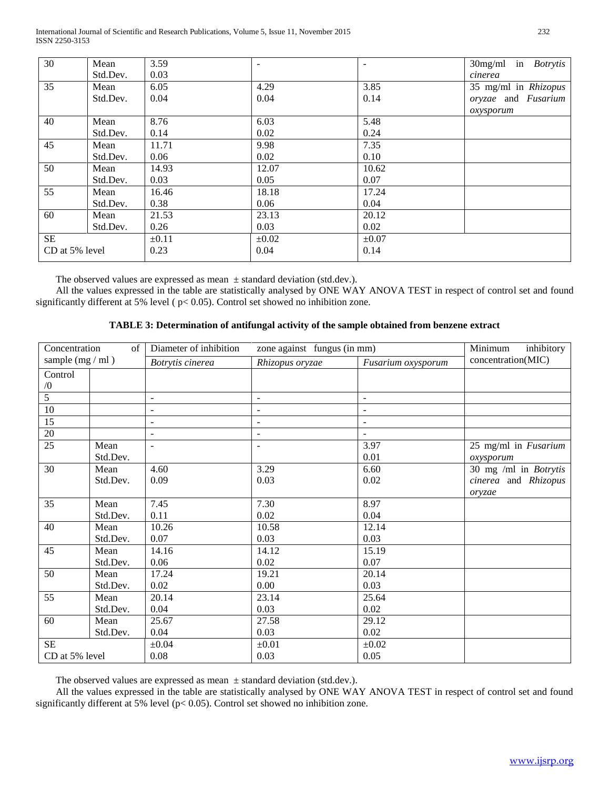International Journal of Scientific and Research Publications, Volume 5, Issue 11, November 2015 232 ISSN 2250-3153

| 30             | Mean     | 3.59       |            |            | $30$ mg/ml in <i>Botrytis</i> |
|----------------|----------|------------|------------|------------|-------------------------------|
|                | Std.Dev. | 0.03       |            |            | cinerea                       |
| 35             | Mean     | 6.05       | 4.29       | 3.85       | 35 mg/ml in Rhizopus          |
|                | Std.Dev. | 0.04       | 0.04       | 0.14       | oryzae and Fusarium           |
|                |          |            |            |            | oxysporum                     |
| 40             | Mean     | 8.76       | 6.03       | 5.48       |                               |
|                | Std.Dev. | 0.14       | 0.02       | 0.24       |                               |
| 45             | Mean     | 11.71      | 9.98       | 7.35       |                               |
|                | Std.Dev. | 0.06       | 0.02       | 0.10       |                               |
| 50             | Mean     | 14.93      | 12.07      | 10.62      |                               |
|                | Std.Dev. | 0.03       | 0.05       | 0.07       |                               |
| 55             | Mean     | 16.46      | 18.18      | 17.24      |                               |
|                | Std.Dev. | 0.38       | 0.06       | 0.04       |                               |
| 60             | Mean     | 21.53      | 23.13      | 20.12      |                               |
|                | Std.Dev. | 0.26       | 0.03       | 0.02       |                               |
| <b>SE</b>      |          | $\pm 0.11$ | $\pm 0.02$ | $\pm 0.07$ |                               |
| CD at 5% level |          | 0.23       | 0.04       | 0.14       |                               |
|                |          |            |            |            |                               |

The observed values are expressed as mean  $\pm$  standard deviation (std.dev.).

 All the values expressed in the table are statistically analysed by ONE WAY ANOVA TEST in respect of control set and found significantly different at 5% level ( p< 0.05). Control set showed no inhibition zone.

| Concentration<br>of <sub>1</sub> |          | Diameter of inhibition | Minimum<br>inhibitory              |                          |                              |  |  |  |  |
|----------------------------------|----------|------------------------|------------------------------------|--------------------------|------------------------------|--|--|--|--|
| sample $(mg / ml)$               |          | Botrytis cinerea       | Rhizopus oryzae                    | Fusarium oxysporum       | concentration(MIC)           |  |  |  |  |
| Control                          |          |                        |                                    |                          |                              |  |  |  |  |
| $\sqrt{0}$                       |          |                        |                                    |                          |                              |  |  |  |  |
| $\overline{5}$                   |          | $\sim$                 | $\sim$                             | $\blacksquare$           |                              |  |  |  |  |
| 10                               |          | $\blacksquare$         | $\overline{\phantom{a}}$           | $\blacksquare$           |                              |  |  |  |  |
| 15                               |          | $\blacksquare$         | $\overline{\phantom{a}}$           | $\overline{\phantom{a}}$ |                              |  |  |  |  |
| 20                               |          | $\sim$                 | $\sim$<br>$\overline{\phantom{a}}$ |                          |                              |  |  |  |  |
| 25                               | Mean     |                        |                                    | 3.97                     | 25 mg/ml in Fusarium         |  |  |  |  |
|                                  | Std.Dev. |                        |                                    | 0.01                     | oxysporum                    |  |  |  |  |
| 30                               | Mean     | 4.60                   | 3.29                               | 6.60                     | 30 mg /ml in <i>Botrytis</i> |  |  |  |  |
|                                  | Std.Dev. | 0.09                   | 0.03                               | 0.02                     | cinerea and Rhizopus         |  |  |  |  |
|                                  |          |                        |                                    |                          | oryzae                       |  |  |  |  |
| 35                               | Mean     | 7.45                   | 7.30                               | 8.97                     |                              |  |  |  |  |
|                                  | Std.Dev. | 0.11                   | 0.02                               | 0.04                     |                              |  |  |  |  |
| 40                               | Mean     | 10.26                  | 10.58                              | 12.14                    |                              |  |  |  |  |
|                                  | Std.Dev. | 0.07                   | 0.03                               | 0.03                     |                              |  |  |  |  |
| 45                               | Mean     | 14.16                  | 14.12                              | 15.19                    |                              |  |  |  |  |
|                                  | Std.Dev. | 0.06                   | 0.02                               | 0.07                     |                              |  |  |  |  |
| 50                               | Mean     | 17.24                  | 19.21                              | 20.14                    |                              |  |  |  |  |
|                                  | Std.Dev. | 0.02                   | 0.00                               | 0.03                     |                              |  |  |  |  |
| 55                               | Mean     | 20.14                  | 23.14                              | 25.64                    |                              |  |  |  |  |
|                                  | Std.Dev. | 0.04                   | 0.03                               | 0.02                     |                              |  |  |  |  |
| 60                               | Mean     | 25.67                  | 27.58                              | 29.12                    |                              |  |  |  |  |
|                                  | Std.Dev. | 0.04                   | 0.03                               | 0.02                     |                              |  |  |  |  |
| <b>SE</b>                        |          | $\pm 0.04$             | $\pm 0.01$                         | $\pm 0.02$               |                              |  |  |  |  |
| CD at 5% level                   |          | 0.08                   | 0.03                               | 0.05                     |                              |  |  |  |  |

# **TABLE 3: Determination of antifungal activity of the sample obtained from benzene extract**

The observed values are expressed as mean  $\pm$  standard deviation (std.dev.).

 All the values expressed in the table are statistically analysed by ONE WAY ANOVA TEST in respect of control set and found significantly different at 5% level (p< 0.05). Control set showed no inhibition zone.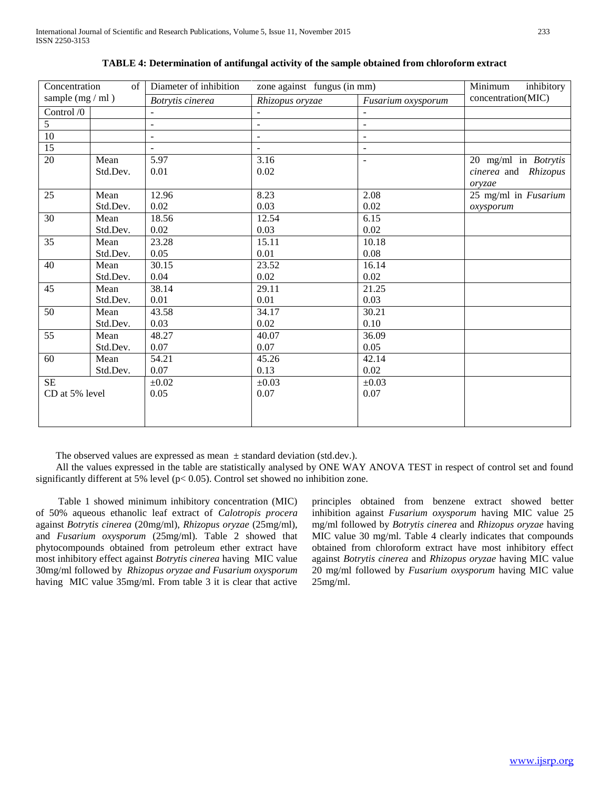| Concentration<br>of |               | Diameter of inhibition | Minimum<br>inhibitory |                          |                      |  |  |
|---------------------|---------------|------------------------|-----------------------|--------------------------|----------------------|--|--|
| sample $(mg / ml)$  |               | Botrytis cinerea       | Rhizopus oryzae       | Fusarium oxysporum       | concentration(MIC)   |  |  |
| Control /0          |               | $\blacksquare$         |                       |                          |                      |  |  |
| $\overline{5}$      |               | $\mathbf{r}$           | $\blacksquare$        | $\overline{\phantom{a}}$ |                      |  |  |
| 10                  |               | $\blacksquare$         | $\blacksquare$        | $\overline{\phantom{a}}$ |                      |  |  |
| $\overline{15}$     |               |                        |                       | $\equiv$                 |                      |  |  |
| 20                  | Mean          | 5.97                   | 3.16                  | $\blacksquare$           | 20 mg/ml in Botrytis |  |  |
|                     | Std.Dev.      | 0.01                   | 0.02                  |                          | cinerea and Rhizopus |  |  |
|                     |               |                        |                       |                          | oryzae               |  |  |
| 25                  | Mean          | 12.96                  | 8.23                  | 2.08                     | 25 mg/ml in Fusarium |  |  |
|                     | Std.Dev.      | 0.02                   | 0.03                  | 0.02                     | oxysporum            |  |  |
| 30                  | 18.56<br>Mean |                        | 12.54                 | 6.15                     |                      |  |  |
|                     | Std.Dev.      | 0.02                   | 0.03                  | 0.02                     |                      |  |  |
| $\overline{35}$     | Mean          | 23.28                  | 15.11                 | 10.18                    |                      |  |  |
|                     | Std.Dev.      | 0.05                   | 0.01                  | 0.08                     |                      |  |  |
| 40                  | Mean          | 30.15                  | 23.52                 | 16.14                    |                      |  |  |
|                     | Std.Dev.      | 0.04                   | 0.02                  | 0.02                     |                      |  |  |
| 45                  | Mean          | 38.14                  | 29.11                 | 21.25                    |                      |  |  |
|                     | Std.Dev.      | 0.01                   | 0.01                  | 0.03                     |                      |  |  |
| $\overline{50}$     | Mean          | 43.58                  | 34.17                 | 30.21                    |                      |  |  |
|                     | Std.Dev.      | 0.03                   | 0.02                  | 0.10                     |                      |  |  |
| 55                  | Mean          | 48.27                  | 40.07                 | 36.09                    |                      |  |  |
|                     | Std.Dev.      | 0.07                   | 0.07                  | 0.05                     |                      |  |  |
| 60                  | Mean          | 54.21                  | 45.26                 | 42.14                    |                      |  |  |
|                     | Std.Dev.      | 0.07                   | 0.13                  | 0.02                     |                      |  |  |
| <b>SE</b>           |               | $\pm 0.02$             | $\pm 0.03$            | $\pm 0.03$               |                      |  |  |
| CD at 5% level      |               | 0.05                   | 0.07                  | 0.07                     |                      |  |  |
|                     |               |                        |                       |                          |                      |  |  |
|                     |               |                        |                       |                          |                      |  |  |
|                     |               |                        |                       |                          |                      |  |  |

|  |  |  |  | TABLE 4: Determination of antifungal activity of the sample obtained from chloroform extract |  |  |  |  |  |  |  |
|--|--|--|--|----------------------------------------------------------------------------------------------|--|--|--|--|--|--|--|
|  |  |  |  |                                                                                              |  |  |  |  |  |  |  |

The observed values are expressed as mean  $\pm$  standard deviation (std.dev.).

 All the values expressed in the table are statistically analysed by ONE WAY ANOVA TEST in respect of control set and found significantly different at 5% level (p< 0.05). Control set showed no inhibition zone.

 Table 1 showed minimum inhibitory concentration (MIC) of 50% aqueous ethanolic leaf extract of *Calotropis procera*  against *Botrytis cinerea* (20mg/ml), *Rhizopus oryzae* (25mg/ml), and *Fusarium oxysporum* (25mg/ml)*.* Table 2 showed that phytocompounds obtained from petroleum ether extract have most inhibitory effect against *Botrytis cinerea* having MIC value 30mg/ml followed by *Rhizopus oryzae and Fusarium oxysporum*  having MIC value 35mg/ml. From table 3 it is clear that active principles obtained from benzene extract showed better inhibition against *Fusarium oxysporum* having MIC value 25 mg/ml followed by *Botrytis cinerea* and *Rhizopus oryzae* having MIC value 30 mg/ml*.* Table 4 clearly indicates that compounds obtained from chloroform extract have most inhibitory effect against *Botrytis cinerea* and *Rhizopus oryzae* having MIC value 20 mg/ml followed by *Fusarium oxysporum* having MIC value 25mg/ml.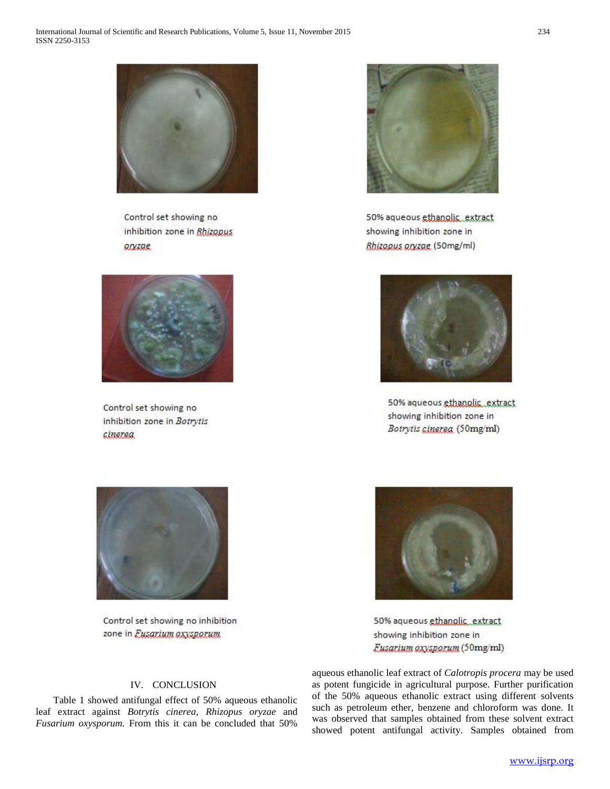

Control set showing no inhibition zone in Bhizopus anzae



Control set showing no inhibition zone in Botrytis cinerea



50% aqueous ethanolic\_extract showing inhibition zone in **Bhizopus oryzae (50mg/ml)** 



50% aqueous ethanolic\_extract showing inhibition zone in Botrytis cinerea (50mg/ml)



Control set showing no inhibition zone in Eusarium oxysporum

50% aqueous ethanolic\_extract showing inhibition zone in Eusarium oxysporum (50mg/ml)

# IV. CONCLUSION

 Table 1 showed antifungal effect of 50% aqueous ethanolic leaf extract against *Botrytis cinerea, Rhizopus oryzae* and *Fusarium oxysporum.* From this it can be concluded that 50%

aqueous ethanolic leaf extract of *Calotropis procera* may be used as potent fungicide in agricultural purpose. Further purification of the 50% aqueous ethanolic extract using different solvents such as petroleum ether, benzene and chloroform was done. It was observed that samples obtained from these solvent extract showed potent antifungal activity. Samples obtained from